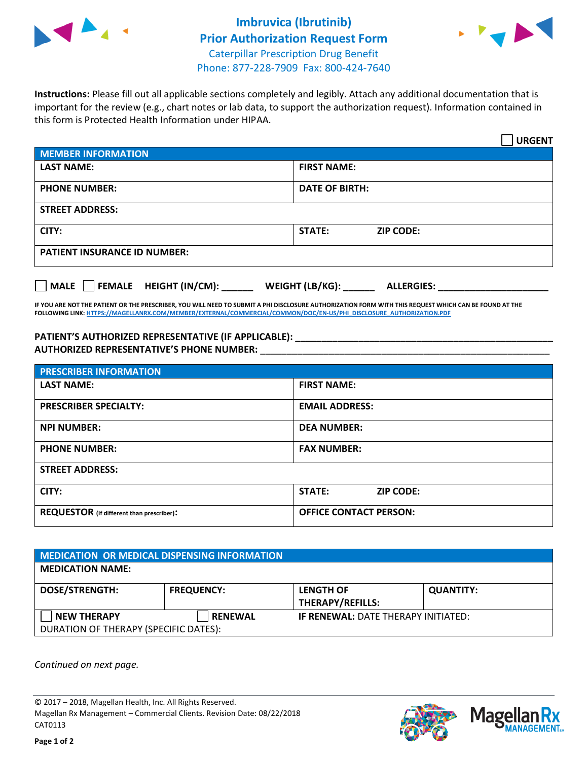



**Instructions:** Please fill out all applicable sections completely and legibly. Attach any additional documentation that is important for the review (e.g., chart notes or lab data, to support the authorization request). Information contained in this form is Protected Health Information under HIPAA.

|                                     | <b>URGENT</b>                        |  |  |  |
|-------------------------------------|--------------------------------------|--|--|--|
| <b>MEMBER INFORMATION</b>           |                                      |  |  |  |
| <b>LAST NAME:</b>                   | <b>FIRST NAME:</b>                   |  |  |  |
| <b>PHONE NUMBER:</b>                | <b>DATE OF BIRTH:</b>                |  |  |  |
| <b>STREET ADDRESS:</b>              |                                      |  |  |  |
| CITY:                               | <b>ZIP CODE:</b><br>STATE:           |  |  |  |
| <b>PATIENT INSURANCE ID NUMBER:</b> |                                      |  |  |  |
| FEMALE HEIGHT (IN/CM):<br>    MALE  | WEIGHT (LB/KG):<br><b>ALLERGIES:</b> |  |  |  |

**IF YOU ARE NOT THE PATIENT OR THE PRESCRIBER, YOU WILL NEED TO SUBMIT A PHI DISCLOSURE AUTHORIZATION FORM WITH THIS REQUEST WHICH CAN BE FOUND AT THE FOLLOWING LINK[: HTTPS://MAGELLANRX.COM/MEMBER/EXTERNAL/COMMERCIAL/COMMON/DOC/EN-US/PHI\\_DISCLOSURE\\_AUTHORIZATION.PDF](https://magellanrx.com/member/external/commercial/common/doc/en-us/PHI_Disclosure_Authorization.pdf)**

**PATIENT'S AUTHORIZED REPRESENTATIVE (IF APPLICABLE): \_\_\_\_\_\_\_\_\_\_\_\_\_\_\_\_\_\_\_\_\_\_\_\_\_\_\_\_\_\_\_\_\_\_\_\_\_\_\_\_\_\_\_\_\_\_\_\_\_ AUTHORIZED REPRESENTATIVE'S PHONE NUMBER:** \_\_\_\_\_\_\_\_\_\_\_\_\_\_\_\_\_\_\_\_\_\_\_\_\_\_\_\_\_\_\_\_\_\_\_\_\_\_\_\_\_\_\_\_\_\_\_\_\_\_\_\_\_\_\_

| <b>PRESCRIBER INFORMATION</b>             |                               |  |  |  |
|-------------------------------------------|-------------------------------|--|--|--|
| <b>LAST NAME:</b>                         | <b>FIRST NAME:</b>            |  |  |  |
| <b>PRESCRIBER SPECIALTY:</b>              | <b>EMAIL ADDRESS:</b>         |  |  |  |
| <b>NPI NUMBER:</b>                        | <b>DEA NUMBER:</b>            |  |  |  |
| <b>PHONE NUMBER:</b>                      | <b>FAX NUMBER:</b>            |  |  |  |
| <b>STREET ADDRESS:</b>                    |                               |  |  |  |
| CITY:                                     | STATE:<br><b>ZIP CODE:</b>    |  |  |  |
| REQUESTOR (if different than prescriber): | <b>OFFICE CONTACT PERSON:</b> |  |  |  |

| <b>MEDICATION OR MEDICAL DISPENSING INFORMATION</b> |                   |                                            |                  |  |  |
|-----------------------------------------------------|-------------------|--------------------------------------------|------------------|--|--|
| <b>MEDICATION NAME:</b>                             |                   |                                            |                  |  |  |
| <b>DOSE/STRENGTH:</b>                               | <b>FREQUENCY:</b> | <b>LENGTH OF</b>                           | <b>QUANTITY:</b> |  |  |
|                                                     |                   | <b>THERAPY/REFILLS:</b>                    |                  |  |  |
| <b>NEW THERAPY</b>                                  | <b>RENEWAL</b>    | <b>IF RENEWAL: DATE THERAPY INITIATED:</b> |                  |  |  |
| DURATION OF THERAPY (SPECIFIC DATES):               |                   |                                            |                  |  |  |

*Continued on next page.*

© 2017 – 2018, Magellan Health, Inc. All Rights Reserved. Magellan Rx Management – Commercial Clients. Revision Date: 08/22/2018 CAT0113